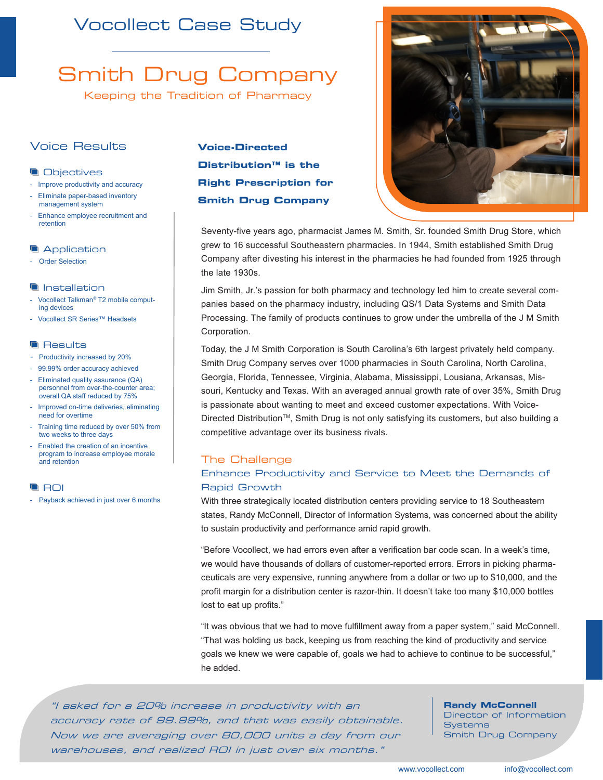## Vocollect Case Study

# Smith Drug Company

Keeping the Tradition of Pharmacy

### Voice Results

### **Objectives**

- Improve productivity and accuracy
- Eliminate paper-based inventory management system
- Enhance employee recruitment and retention

### **Application**

- Order Selection

### **Installation**

- Vocollect Talkman*®* T2 mobile computing devices
- Vocollect SR Series™ Headsets

### **Results**

- Productivity increased by 20%
- 99.99% order accuracy achieved
- Eliminated quality assurance (QA) personnel from over-the-counter area; overall QA staff reduced by 75%
- Improved on-time deliveries, eliminating need for overtime
- Training time reduced by over 50% from two weeks to three days
- Enabled the creation of an incentive program to increase employee morale and retention

### **ROI**

- Payback achieved in just over 6 months

### **Voice-Directed Distribution™ is the Right Prescription for Smith Drug Company**



Seventy-five years ago, pharmacist James M. Smith, Sr. founded Smith Drug Store, which grew to 16 successful Southeastern pharmacies. In 1944, Smith established Smith Drug Company after divesting his interest in the pharmacies he had founded from 1925 through the late 1930s.

Jim Smith, Jr.'s passion for both pharmacy and technology led him to create several companies based on the pharmacy industry, including QS/1 Data Systems and Smith Data Processing. The family of products continues to grow under the umbrella of the J M Smith Corporation.

Today, the J M Smith Corporation is South Carolina's 6th largest privately held company. Smith Drug Company serves over 1000 pharmacies in South Carolina, North Carolina, Georgia, Florida, Tennessee, Virginia, Alabama, Mississippi, Lousiana, Arkansas, Missouri, Kentucky and Texas. With an averaged annual growth rate of over 35%, Smith Drug is passionate about wanting to meet and exceed customer expectations. With Voice-Directed DistributionTM, Smith Drug is not only satisfying its customers, but also building a competitive advantage over its business rivals.

### The Challenge

### Enhance Productivity and Service to Meet the Demands of Rapid Growth

With three strategically located distribution centers providing service to 18 Southeastern states, Randy McConnell, Director of Information Systems, was concerned about the ability to sustain productivity and performance amid rapid growth.

"Before Vocollect, we had errors even after a verification bar code scan. In a week's time, we would have thousands of dollars of customer-reported errors. Errors in picking pharmaceuticals are very expensive, running anywhere from a dollar or two up to \$10,000, and the profit margin for a distribution center is razor-thin. It doesn't take too many \$10,000 bottles lost to eat up profits."

"It was obvious that we had to move fulfillment away from a paper system," said McConnell. "That was holding us back, keeping us from reaching the kind of productivity and service goals we knew we were capable of, goals we had to achieve to continue to be successful," he added.

"I asked for a 20% increase in productivity with an accuracy rate of 99.99%, and that was easily obtainable. Now we are averaging over 80,000 units a day from our warehouses, and realized ROI in just over six months."

### **Randy McConnell**

Director of Information **Systems** Smith Drug Company